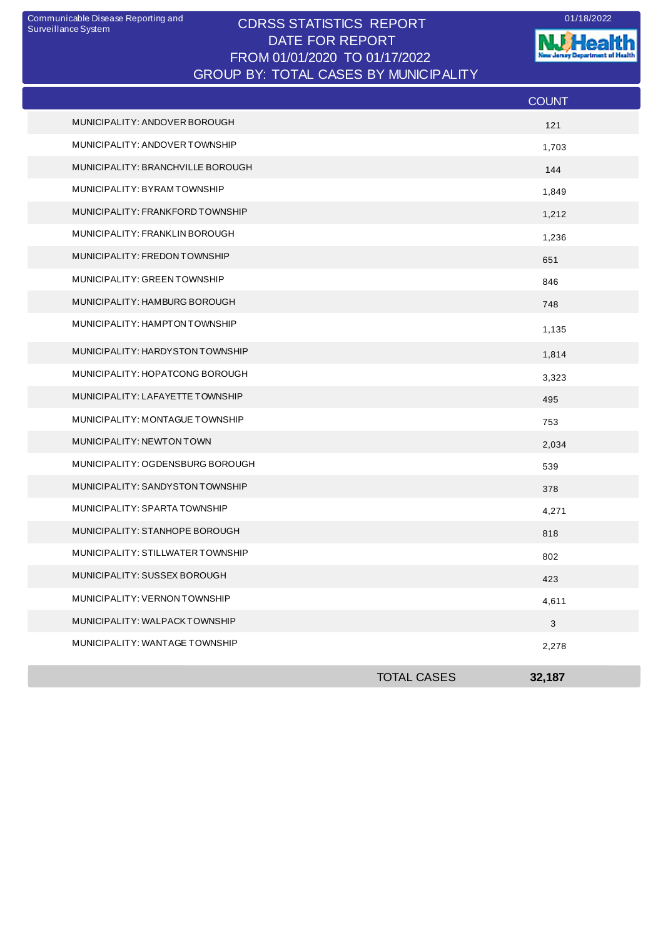## CDRSS STATISTICS REPORT Communicable Disease Reporting and 01/18/2022 DATE FOR REPORT FROM 01/01/2020 TO 01/17/2022 GROUP BY: TOTAL CASES BY MUNICIPALITY

**NJ** Health nt of Health **The Second** . --

|                                   |                    | <b>COUNT</b> |
|-----------------------------------|--------------------|--------------|
| MUNICIPALITY: ANDOVER BOROUGH     |                    | 121          |
| MUNICIPALITY: ANDOVER TOWNSHIP    |                    | 1,703        |
| MUNICIPALITY: BRANCHVILLE BOROUGH |                    | 144          |
| MUNICIPALITY: BYRAMTOWNSHIP       |                    | 1,849        |
| MUNICIPALITY: FRANKFORD TOWNSHIP  |                    | 1,212        |
| MUNICIPALITY: FRANKLIN BOROUGH    |                    | 1,236        |
| MUNICIPALITY: FREDON TOWNSHIP     |                    | 651          |
| MUNICIPALITY: GREEN TOWNSHIP      |                    | 846          |
| MUNICIPALITY: HAMBURG BOROUGH     |                    | 748          |
| MUNICIPALITY: HAMPTON TOWNSHIP    |                    | 1,135        |
| MUNICIPALITY: HARDYSTON TOWNSHIP  |                    | 1,814        |
| MUNICIPALITY: HOPATCONG BOROUGH   |                    | 3,323        |
| MUNICIPALITY: LAFAYETTE TOWNSHIP  |                    | 495          |
| MUNICIPALITY: MONTAGUE TOWNSHIP   |                    | 753          |
| MUNICIPALITY: NEWTON TOWN         |                    | 2,034        |
| MUNICIPALITY: OGDENSBURG BOROUGH  |                    | 539          |
| MUNICIPALITY: SANDYSTON TOWNSHIP  |                    | 378          |
| MUNICIPALITY: SPARTA TOWNSHIP     |                    | 4,271        |
| MUNICIPALITY: STANHOPE BOROUGH    |                    | 818          |
| MUNICIPALITY: STILLWATER TOWNSHIP |                    | 802          |
| MUNICIPALITY: SUSSEX BOROUGH      |                    | 423          |
| MUNICIPALITY: VERNON TOWNSHIP     |                    | 4,611        |
| MUNICIPALITY: WALPACKTOWNSHIP     |                    | $\sqrt{3}$   |
| MUNICIPALITY: WANTAGE TOWNSHIP    |                    | 2,278        |
|                                   | <b>TOTAL CASES</b> | 32,187       |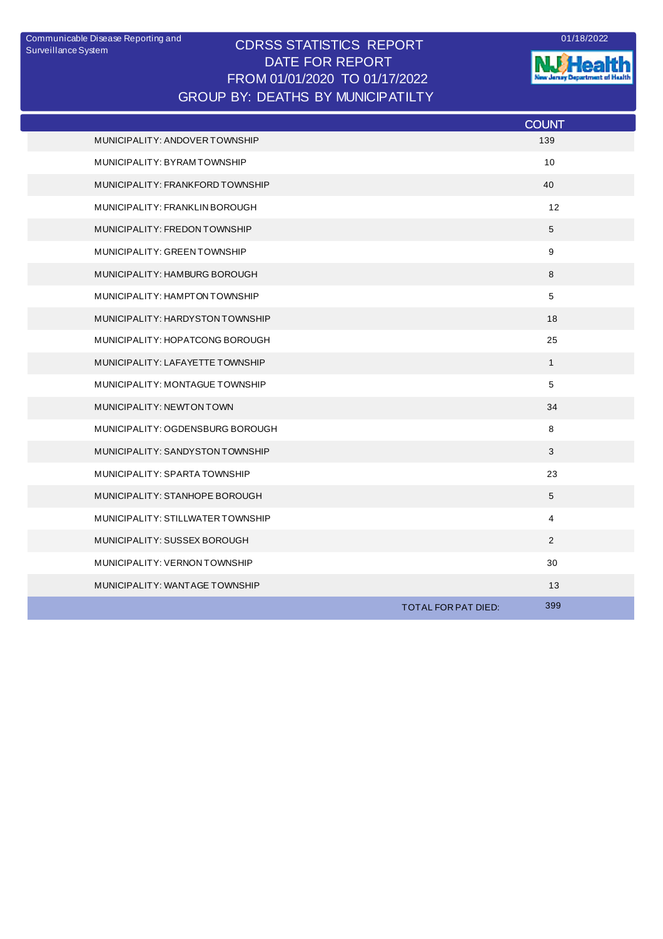## CDRSS STATISTICS REPORT DATE FOR REPORT FROM 01/01/2020 TO 01/17/2022 Communicable Disease Reporting and <br>
CODCO CTATICTICO DEDODT GROUP BY: DEATHS BY MUNICIPATILTY



|                                   |                     | <b>COUNT</b>   |
|-----------------------------------|---------------------|----------------|
| MUNICIPALITY: ANDOVER TOWNSHIP    |                     | 139            |
| MUNICIPALITY: BYRAM TOWNSHIP      |                     | 10             |
| MUNICIPALITY: FRANKFORD TOWNSHIP  |                     | 40             |
| MUNICIPALITY: FRANKLIN BOROUGH    |                     | 12             |
| MUNICIPALITY: FREDON TOWNSHIP     |                     | 5              |
| MUNICIPALITY: GREEN TOWNSHIP      |                     | 9              |
| MUNICIPALITY: HAMBURG BOROUGH     |                     | 8              |
| MUNICIPALITY: HAMPTON TOWNSHIP    |                     | 5              |
| MUNICIPALITY: HARDYSTON TOWNSHIP  |                     | 18             |
| MUNICIPALITY: HOPATCONG BOROUGH   |                     | 25             |
| MUNICIPALITY: LAFAYETTE TOWNSHIP  |                     | $\mathbf{1}$   |
| MUNICIPALITY: MONTAGUE TOWNSHIP   |                     | 5              |
| MUNICIPALITY: NEWTON TOWN         |                     | 34             |
| MUNICIPALITY: OGDENSBURG BOROUGH  |                     | 8              |
| MUNICIPALITY: SANDYSTON TOWNSHIP  |                     | 3              |
| MUNICIPALITY: SPARTA TOWNSHIP     |                     | 23             |
| MUNICIPALITY: STANHOPE BOROUGH    |                     | 5              |
| MUNICIPALITY: STILLWATER TOWNSHIP |                     | $\overline{4}$ |
| MUNICIPALITY: SUSSEX BOROUGH      |                     | 2              |
| MUNICIPALITY: VERNON TOWNSHIP     |                     | 30             |
| MUNICIPALITY: WANTAGE TOWNSHIP    |                     | 13             |
|                                   | TOTAL FOR PAT DIED: | 399            |
|                                   |                     |                |